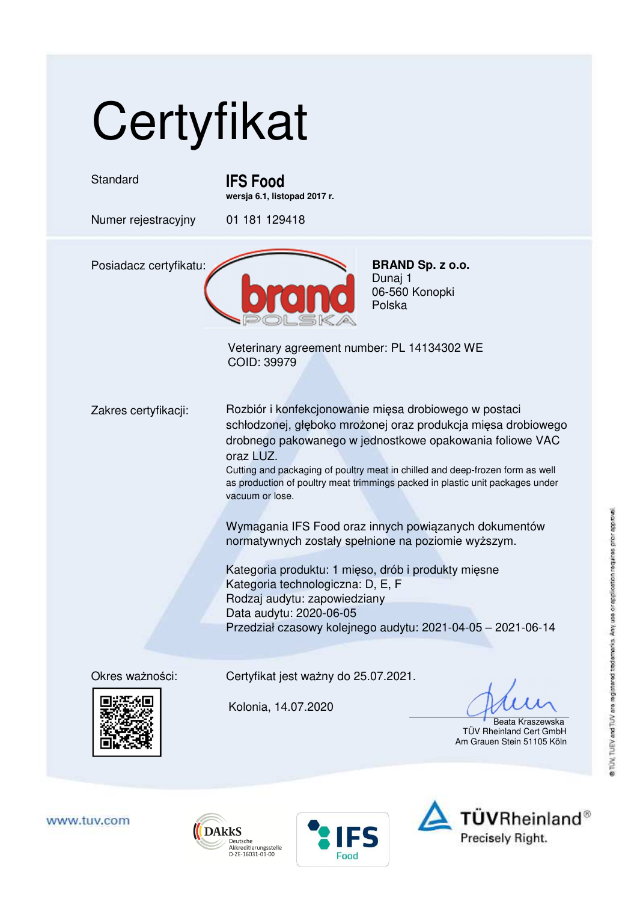## **Certyfikat**

Standard **IFS Food** 

**wersja 6.1, listopad 2017 r.** 

Numer rejestracyjny 01 181 129418



Dunaj 1 06-560 Konopki Polska

Veterinary agreement number: PL 14134302 WE COID: 39979

Zakres certyfikacji: Rozbiór i konfekcjonowanie mięsa drobiowego w postaci schłodzonej, głęboko mrożonej oraz produkcja mięsa drobiowego drobnego pakowanego w jednostkowe opakowania foliowe VAC oraz LUZ.

Cutting and packaging of poultry meat in chilled and deep-frozen form as well as production of poultry meat trimmings packed in plastic unit packages under vacuum or lose.

Wymagania IFS Food oraz innych powiązanych dokumentów normatywnych zostały spełnione na poziomie wyższym.

Kategoria produktu: 1 mięso, drób i produkty mięsne Kategoria technologiczna: D, E, F Rodzaj audytu: zapowiedziany Data audytu: 2020-06-05 Przedział czasowy kolejnego audytu: 2021-04-05 – 2021-06-14



Okres ważności: Certyfikat jest ważny do 25.07.2021.

Kolonia, 14.07.2020

 Beata Kraszewska TÜV Rheinland Cert GmbH Am Grauen Stein 51105 Köln







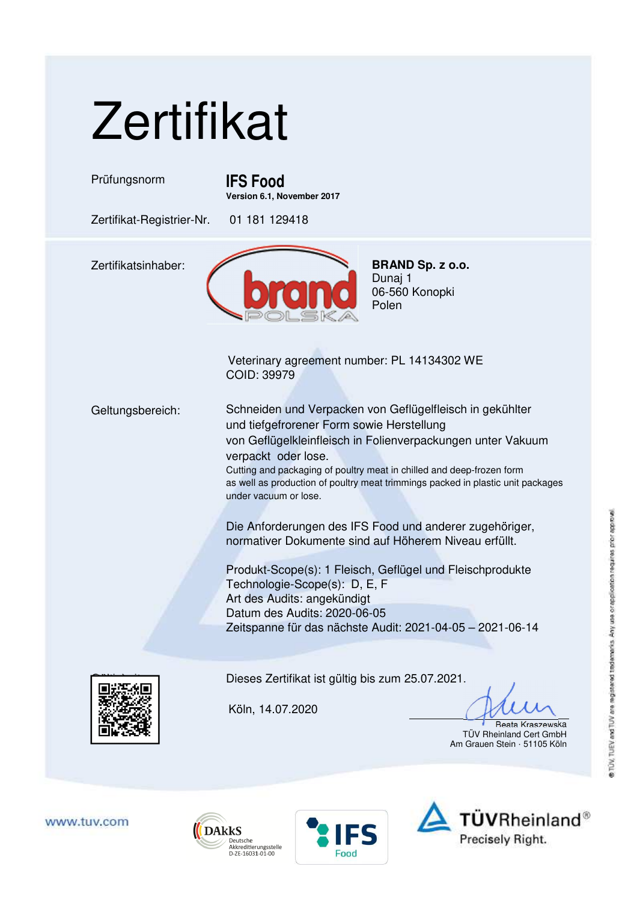

Die Anforderungen des IFS Food und anderer zugehöriger, normativer Dokumente sind auf Höherem Niveau erfüllt.

Produkt-Scope(s): 1 Fleisch, Geflügel und Fleischprodukte Technologie-Scope(s): D, E, F Art des Audits: angekündigt Datum des Audits: 2020-06-05 Zeitspanne für das nächste Audit: 2021-04-05 – 2021-06-14



Dieses Zertifikat ist gültig bis zum 25.07.2021.

Köln, 14.07.2020

Beata Kraszewska TÜV Rheinland Cert GmbH Am Grauen Stein · 51105 Köln

www.tuv.com